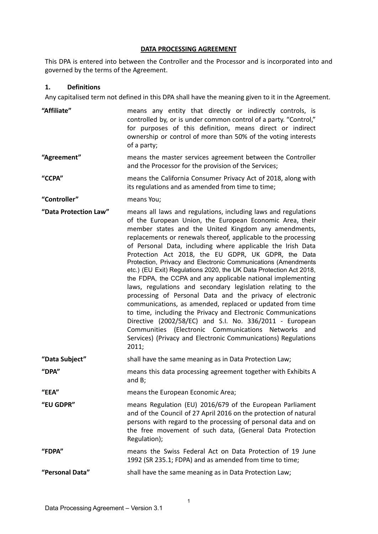### **DATA PROCESSING AGREEMENT**

This DPA is entered into between the Controller and the Processor and is incorporated into and governed by the terms of the Agreement.

### **1. Definitions**

Any capitalised term not defined in this DPA shall have the meaning given to it in the Agreement.

| "Affiliate"           | means any entity that directly or indirectly controls, is<br>controlled by, or is under common control of a party. "Control,"<br>for purposes of this definition, means direct or indirect<br>ownership or control of more than 50% of the voting interests<br>of a party;                                                                                                                                                                                                                                                                                                                                                                                                                                                                                                                                                                                                                                                                                                                                                            |
|-----------------------|---------------------------------------------------------------------------------------------------------------------------------------------------------------------------------------------------------------------------------------------------------------------------------------------------------------------------------------------------------------------------------------------------------------------------------------------------------------------------------------------------------------------------------------------------------------------------------------------------------------------------------------------------------------------------------------------------------------------------------------------------------------------------------------------------------------------------------------------------------------------------------------------------------------------------------------------------------------------------------------------------------------------------------------|
| "Agreement"           | means the master services agreement between the Controller<br>and the Processor for the provision of the Services;                                                                                                                                                                                                                                                                                                                                                                                                                                                                                                                                                                                                                                                                                                                                                                                                                                                                                                                    |
| "CCPA"                | means the California Consumer Privacy Act of 2018, along with<br>its regulations and as amended from time to time;                                                                                                                                                                                                                                                                                                                                                                                                                                                                                                                                                                                                                                                                                                                                                                                                                                                                                                                    |
| "Controller"          | means You;                                                                                                                                                                                                                                                                                                                                                                                                                                                                                                                                                                                                                                                                                                                                                                                                                                                                                                                                                                                                                            |
| "Data Protection Law" | means all laws and regulations, including laws and regulations<br>of the European Union, the European Economic Area, their<br>member states and the United Kingdom any amendments,<br>replacements or renewals thereof, applicable to the processing<br>of Personal Data, including where applicable the Irish Data<br>Protection Act 2018, the EU GDPR, UK GDPR, the Data<br>Protection, Privacy and Electronic Communications (Amendments<br>etc.) (EU Exit) Regulations 2020, the UK Data Protection Act 2018,<br>the FDPA, the CCPA and any applicable national implementing<br>laws, regulations and secondary legislation relating to the<br>processing of Personal Data and the privacy of electronic<br>communications, as amended, replaced or updated from time<br>to time, including the Privacy and Electronic Communications<br>Directive (2002/58/EC) and S.I. No. 336/2011 - European<br>Communities (Electronic Communications Networks and<br>Services) (Privacy and Electronic Communications) Regulations<br>2011; |
| "Data Subject"        | shall have the same meaning as in Data Protection Law;                                                                                                                                                                                                                                                                                                                                                                                                                                                                                                                                                                                                                                                                                                                                                                                                                                                                                                                                                                                |
| "DPA"                 | means this data processing agreement together with Exhibits A<br>and $B$ ;                                                                                                                                                                                                                                                                                                                                                                                                                                                                                                                                                                                                                                                                                                                                                                                                                                                                                                                                                            |
| "EEA"                 | means the European Economic Area;                                                                                                                                                                                                                                                                                                                                                                                                                                                                                                                                                                                                                                                                                                                                                                                                                                                                                                                                                                                                     |
| "EU GDPR"             | means Regulation (EU) 2016/679 of the European Parliament<br>and of the Council of 27 April 2016 on the protection of natural<br>persons with regard to the processing of personal data and on<br>the free movement of such data, (General Data Protection<br>Regulation);                                                                                                                                                                                                                                                                                                                                                                                                                                                                                                                                                                                                                                                                                                                                                            |
| "FDPA"                | means the Swiss Federal Act on Data Protection of 19 June<br>1992 (SR 235.1; FDPA) and as amended from time to time;                                                                                                                                                                                                                                                                                                                                                                                                                                                                                                                                                                                                                                                                                                                                                                                                                                                                                                                  |
| "Personal Data"       | shall have the same meaning as in Data Protection Law;                                                                                                                                                                                                                                                                                                                                                                                                                                                                                                                                                                                                                                                                                                                                                                                                                                                                                                                                                                                |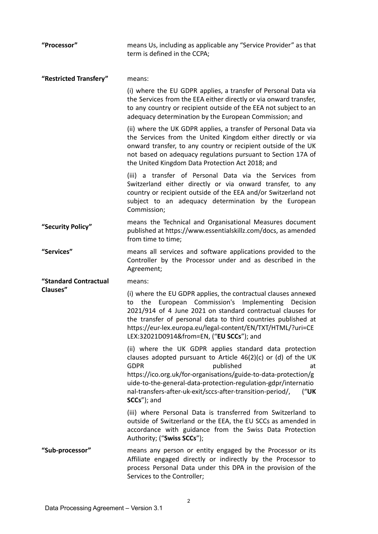| "Processor"            | means Us, including as applicable any "Service Provider" as that<br>term is defined in the CCPA;                                                                                                                                                                                                                                                                                       |
|------------------------|----------------------------------------------------------------------------------------------------------------------------------------------------------------------------------------------------------------------------------------------------------------------------------------------------------------------------------------------------------------------------------------|
| "Restricted Transfery" | means:                                                                                                                                                                                                                                                                                                                                                                                 |
|                        | (i) where the EU GDPR applies, a transfer of Personal Data via<br>the Services from the EEA either directly or via onward transfer,<br>to any country or recipient outside of the EEA not subject to an<br>adequacy determination by the European Commission; and                                                                                                                      |
|                        | (ii) where the UK GDPR applies, a transfer of Personal Data via<br>the Services from the United Kingdom either directly or via<br>onward transfer, to any country or recipient outside of the UK<br>not based on adequacy regulations pursuant to Section 17A of<br>the United Kingdom Data Protection Act 2018; and                                                                   |
|                        | (iii) a transfer of Personal Data via the Services from<br>Switzerland either directly or via onward transfer, to any<br>country or recipient outside of the EEA and/or Switzerland not<br>subject to an adequacy determination by the European<br>Commission;                                                                                                                         |
| "Security Policy"      | means the Technical and Organisational Measures document<br>published at https://www.essentialskillz.com/docs, as amended<br>from time to time;                                                                                                                                                                                                                                        |
| "Services"             | means all services and software applications provided to the<br>Controller by the Processor under and as described in the<br>Agreement;                                                                                                                                                                                                                                                |
| "Standard Contractual  | means:                                                                                                                                                                                                                                                                                                                                                                                 |
| Clauses"               | (i) where the EU GDPR applies, the contractual clauses annexed<br>European Commission's Implementing Decision<br>the<br>to<br>2021/914 of 4 June 2021 on standard contractual clauses for<br>the transfer of personal data to third countries published at<br>https://eur-lex.europa.eu/legal-content/EN/TXT/HTML/?uri=CE<br>LEX:32021D0914&from=EN, ("EU SCCs"); and                  |
|                        | (ii) where the UK GDPR applies standard data protection<br>clauses adopted pursuant to Article $46(2)(c)$ or (d) of the UK<br><b>GDPR</b><br>published<br>at<br>https://ico.org.uk/for-organisations/guide-to-data-protection/g<br>uide-to-the-general-data-protection-regulation-gdpr/internatio<br>nal-transfers-after-uk-exit/sccs-after-transition-period/,<br>("UK<br>SCCs"); and |
|                        | (iii) where Personal Data is transferred from Switzerland to<br>outside of Switzerland or the EEA, the EU SCCs as amended in<br>accordance with guidance from the Swiss Data Protection<br>Authority; ("Swiss SCCs");                                                                                                                                                                  |
| "Sub-processor"        | means any person or entity engaged by the Processor or its<br>Affiliate engaged directly or indirectly by the Processor to<br>process Personal Data under this DPA in the provision of the<br>Services to the Controller;                                                                                                                                                              |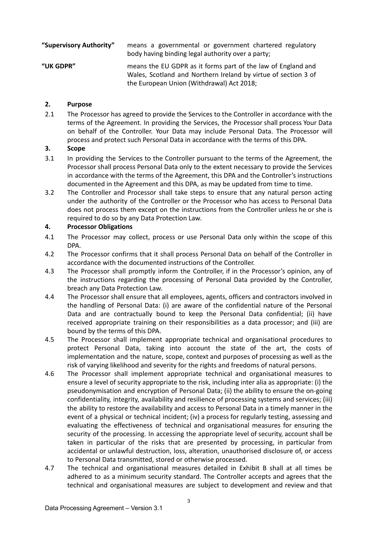| "Supervisory Authority" | means a governmental or government chartered regulatory<br>body having binding legal authority over a party;                                                                |
|-------------------------|-----------------------------------------------------------------------------------------------------------------------------------------------------------------------------|
| "UK GDPR"               | means the EU GDPR as it forms part of the law of England and<br>Wales, Scotland and Northern Ireland by virtue of section 3 of<br>the European Union (Withdrawal) Act 2018; |

## **2. Purpose**

2.1 The Processor has agreed to provide the Services to the Controller in accordance with the terms of the Agreement. In providing the Services, the Processor shall process Your Data on behalf of the Controller. Your Data may include Personal Data. The Processor will process and protect such Personal Data in accordance with the terms of this DPA.

### **3. Scope**

- 3.1 In providing the Services to the Controller pursuant to the terms of the Agreement, the Processor shall process Personal Data only to the extent necessary to provide the Services in accordance with the terms of the Agreement, this DPA and the Controller's instructions documented in the Agreement and this DPA, as may be updated from time to time.
- 3.2 The Controller and Processor shall take steps to ensure that any natural person acting under the authority of the Controller or the Processor who has access to Personal Data does not process them except on the instructions from the Controller unless he or she is required to do so by any Data Protection Law.

## **4. Processor Obligations**

- 4.1 The Processor may collect, process or use Personal Data only within the scope of this DPA.
- 4.2 The Processor confirms that it shall process Personal Data on behalf of the Controller in accordance with the documented instructions of the Controller.
- 4.3 The Processor shall promptly inform the Controller, if in the Processor's opinion, any of the instructions regarding the processing of Personal Data provided by the Controller, breach any Data Protection Law.
- 4.4 The Processor shall ensure that all employees, agents, officers and contractors involved in the handling of Personal Data: (i) are aware of the confidential nature of the Personal Data and are contractually bound to keep the Personal Data confidential; (ii) have received appropriate training on their responsibilities as a data processor; and (iii) are bound by the terms of this DPA.
- 4.5 The Processor shall implement appropriate technical and organisational procedures to protect Personal Data, taking into account the state of the art, the costs of implementation and the nature, scope, context and purposes of processing as well as the risk of varying likelihood and severity for the rights and freedoms of natural persons.
- 4.6 The Processor shall implement appropriate technical and organisational measures to ensure a level of security appropriate to the risk, including inter alia as appropriate: (i) the pseudonymisation and encryption of Personal Data; (ii) the ability to ensure the on-going confidentiality, integrity, availability and resilience of processing systems and services; (iii) the ability to restore the availability and access to Personal Data in a timely manner in the event of a physical or technical incident; (iv) a process for regularly testing, assessing and evaluating the effectiveness of technical and organisational measures for ensuring the security of the processing. In accessing the appropriate level of security, account shall be taken in particular of the risks that are presented by processing, in particular from accidental or unlawful destruction, loss, alteration, unauthorised disclosure of, or access to Personal Data transmitted, stored or otherwise processed.
- 4.7 The technical and organisational measures detailed in Exhibit B shall at all times be adhered to as a minimum security standard. The Controller accepts and agrees that the technical and organisational measures are subject to development and review and that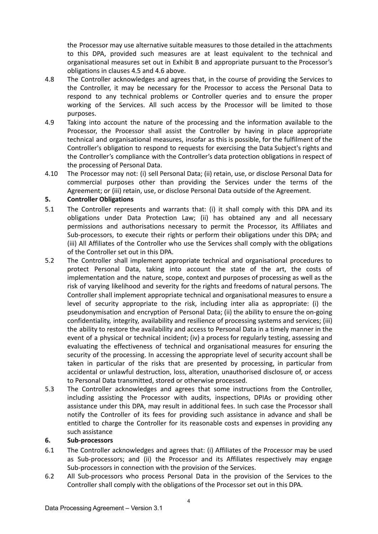the Processor may use alternative suitable measures to those detailed in the attachments to this DPA, provided such measures are at least equivalent to the technical and organisational measures set out in Exhibit B and appropriate pursuant to the Processor's obligations in clauses 4.5 and 4.6 above.

- 4.8 The Controller acknowledges and agrees that, in the course of providing the Services to the Controller, it may be necessary for the Processor to access the Personal Data to respond to any technical problems or Controller queries and to ensure the proper working of the Services. All such access by the Processor will be limited to those purposes.
- 4.9 Taking into account the nature of the processing and the information available to the Processor, the Processor shall assist the Controller by having in place appropriate technical and organisational measures, insofar as this is possible, for the fulfilment of the Controller's obligation to respond to requests for exercising the Data Subject's rights and the Controller's compliance with the Controller's data protection obligations in respect of the processing of Personal Data.
- 4.10 The Processor may not: (i) sell Personal Data; (ii) retain, use, or disclose Personal Data for commercial purposes other than providing the Services under the terms of the Agreement; or (iii) retain, use, or disclose Personal Data outside of the Agreement.

## **5. Controller Obligations**

- 5.1 The Controller represents and warrants that: (i) it shall comply with this DPA and its obligations under Data Protection Law; (ii) has obtained any and all necessary permissions and authorisations necessary to permit the Processor, its Affiliates and Sub-processors, to execute their rights or perform their obligations under this DPA; and (iii) All Affiliates of the Controller who use the Services shall comply with the obligations of the Controller set out in this DPA.
- 5.2 The Controller shall implement appropriate technical and organisational procedures to protect Personal Data, taking into account the state of the art, the costs of implementation and the nature, scope, context and purposes of processing as well as the risk of varying likelihood and severity for the rights and freedoms of natural persons. The Controller shall implement appropriate technical and organisational measures to ensure a level of security appropriate to the risk, including inter alia as appropriate: (i) the pseudonymisation and encryption of Personal Data; (ii) the ability to ensure the on-going confidentiality, integrity, availability and resilience of processing systems and services; (iii) the ability to restore the availability and access to Personal Data in a timely manner in the event of a physical or technical incident; (iv) a process for regularly testing, assessing and evaluating the effectiveness of technical and organisational measures for ensuring the security of the processing. In accessing the appropriate level of security account shall be taken in particular of the risks that are presented by processing, in particular from accidental or unlawful destruction, loss, alteration, unauthorised disclosure of, or access to Personal Data transmitted, stored or otherwise processed.
- 5.3 The Controller acknowledges and agrees that some instructions from the Controller, including assisting the Processor with audits, inspections, DPIAs or providing other assistance under this DPA, may result in additional fees. In such case the Processor shall notify the Controller of its fees for providing such assistance in advance and shall be entitled to charge the Controller for its reasonable costs and expenses in providing any such assistance

### **6. Sub-processors**

- 6.1 The Controller acknowledges and agrees that: (i) Affiliates of the Processor may be used as Sub-processors; and (ii) the Processor and its Affiliates respectively may engage Sub-processors in connection with the provision of the Services.
- 6.2 All Sub-processors who process Personal Data in the provision of the Services to the Controller shall comply with the obligations of the Processor set out in this DPA.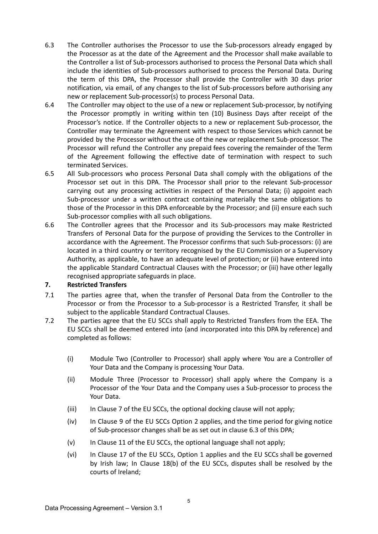- 6.3 The Controller authorises the Processor to use the Sub-processors already engaged by the Processor as at the date of the Agreement and the Processor shall make available to the Controller a list of Sub-processors authorised to process the Personal Data which shall include the identities of Sub-processors authorised to process the Personal Data. During the term of this DPA, the Processor shall provide the Controller with 30 days prior notification, via email, of any changes to the list of Sub-processors before authorising any new or replacement Sub-processor(s) to process Personal Data.
- 6.4 The Controller may object to the use of a new or replacement Sub-processor, by notifying the Processor promptly in writing within ten (10) Business Days after receipt of the Processor's notice. If the Controller objects to a new or replacement Sub-processor, the Controller may terminate the Agreement with respect to those Services which cannot be provided by the Processor without the use of the new or replacement Sub-processor. The Processor will refund the Controller any prepaid fees covering the remainder of the Term of the Agreement following the effective date of termination with respect to such terminated Services.
- 6.5 All Sub-processors who process Personal Data shall comply with the obligations of the Processor set out in this DPA. The Processor shall prior to the relevant Sub-processor carrying out any processing activities in respect of the Personal Data; (i) appoint each Sub-processor under a written contract containing materially the same obligations to those of the Processor in this DPA enforceable by the Processor; and (ii) ensure each such Sub-processor complies with all such obligations.
- 6.6 The Controller agrees that the Processor and its Sub-processors may make Restricted Transfers of Personal Data for the purpose of providing the Services to the Controller in accordance with the Agreement. The Processor confirms that such Sub-processors: (i) are located in a third country or territory recognised by the EU Commission or a Supervisory Authority, as applicable, to have an adequate level of protection; or (ii) have entered into the applicable Standard Contractual Clauses with the Processor; or (iii) have other legally recognised appropriate safeguards in place.

## **7. Restricted Transfers**

- 7.1 The parties agree that, when the transfer of Personal Data from the Controller to the Processor or from the Processor to a Sub-processor is a Restricted Transfer, it shall be subject to the applicable Standard Contractual Clauses.
- 7.2 The parties agree that the EU SCCs shall apply to Restricted Transfers from the EEA. The EU SCCs shall be deemed entered into (and incorporated into this DPA by reference) and completed as follows:
	- (i) Module Two (Controller to Processor) shall apply where You are a Controller of Your Data and the Company is processing Your Data.
	- (ii) Module Three (Processor to Processor) shall apply where the Company is a Processor of the Your Data and the Company uses a Sub-processor to process the Your Data.
	- (iii) In Clause 7 of the EU SCCs, the optional docking clause will not apply;
	- (iv) In Clause 9 of the EU SCCs Option 2 applies, and the time period for giving notice of Sub-processor changes shall be as set out in clause 6.3 of this DPA;
	- (v) In Clause 11 of the EU SCCs, the optional language shall not apply;
	- (vi) In Clause 17 of the EU SCCs, Option 1 applies and the EU SCCs shall be governed by Irish law; In Clause 18(b) of the EU SCCs, disputes shall be resolved by the courts of Ireland;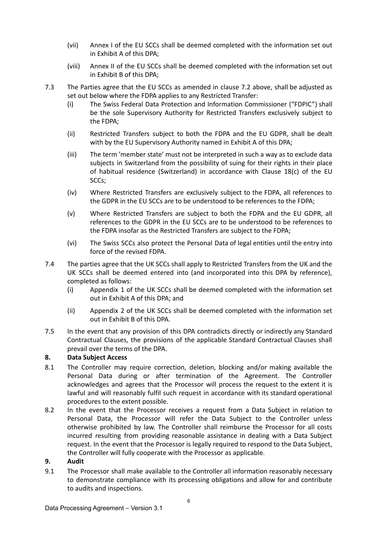- (vii) Annex I of the EU SCCs shall be deemed completed with the information set out in Exhibit A of this DPA;
- (viii) Annex II of the EU SCCs shall be deemed completed with the information set out in Exhibit B of this DPA;
- 7.3 The Parties agree that the EU SCCs as amended in clause 7.2 above, shall be adjusted as set out below where the FDPA applies to any Restricted Transfer:
	- (i) The Swiss Federal Data Protection and Information Commissioner ("FDPIC") shall be the sole Supervisory Authority for Restricted Transfers exclusively subject to the FDPA;
	- (ii) Restricted Transfers subject to both the FDPA and the EU GDPR, shall be dealt with by the EU Supervisory Authority named in Exhibit A of this DPA;
	- (iii) The term 'member state' must not be interpreted in such a way as to exclude data subjects in Switzerland from the possibility of suing for their rights in their place of habitual residence (Switzerland) in accordance with Clause 18(c) of the EU SCCs;
	- (iv) Where Restricted Transfers are exclusively subject to the FDPA, all references to the GDPR in the EU SCCs are to be understood to be references to the FDPA;
	- (v) Where Restricted Transfers are subject to both the FDPA and the EU GDPR, all references to the GDPR in the EU SCCs are to be understood to be references to the FDPA insofar as the Restricted Transfers are subject to the FDPA;
	- (vi) The Swiss SCCs also protect the Personal Data of legal entities until the entry into force of the revised FDPA.
- 7.4 The parties agree that the UK SCCs shall apply to Restricted Transfers from the UK and the UK SCCs shall be deemed entered into (and incorporated into this DPA by reference), completed as follows:
	- (i) Appendix 1 of the UK SCCs shall be deemed completed with the information set out in Exhibit A of this DPA; and
	- (ii) Appendix 2 of the UK SCCs shall be deemed completed with the information set out in Exhibit B of this DPA.
- 7.5 In the event that any provision of this DPA contradicts directly or indirectly any Standard Contractual Clauses, the provisions of the applicable Standard Contractual Clauses shall prevail over the terms of the DPA.

# **8. Data Subject Access**

- 8.1 The Controller may require correction, deletion, blocking and/or making available the Personal Data during or after termination of the Agreement. The Controller acknowledges and agrees that the Processor will process the request to the extent it is lawful and will reasonably fulfil such request in accordance with its standard operational procedures to the extent possible.
- 8.2 In the event that the Processor receives a request from a Data Subject in relation to Personal Data, the Processor will refer the Data Subject to the Controller unless otherwise prohibited by law. The Controller shall reimburse the Processor for all costs incurred resulting from providing reasonable assistance in dealing with a Data Subject request. In the event that the Processor is legally required to respond to the Data Subject, the Controller will fully cooperate with the Processor as applicable.

### **9. Audit**

9.1 The Processor shall make available to the Controller all information reasonably necessary to demonstrate compliance with its processing obligations and allow for and contribute to audits and inspections.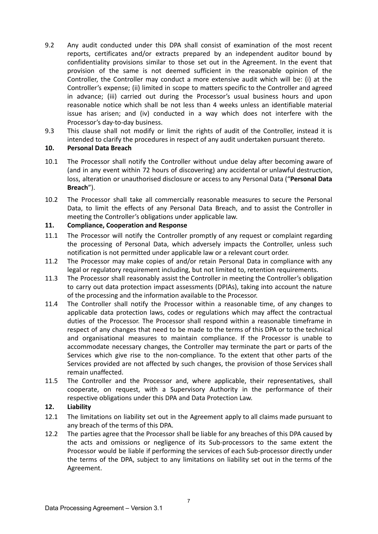- 9.2 Any audit conducted under this DPA shall consist of examination of the most recent reports, certificates and/or extracts prepared by an independent auditor bound by confidentiality provisions similar to those set out in the Agreement. In the event that provision of the same is not deemed sufficient in the reasonable opinion of the Controller, the Controller may conduct a more extensive audit which will be: (i) at the Controller's expense; (ii) limited in scope to matters specific to the Controller and agreed in advance; (iii) carried out during the Processor's usual business hours and upon reasonable notice which shall be not less than 4 weeks unless an identifiable material issue has arisen; and (iv) conducted in a way which does not interfere with the Processor's day-to-day business.
- 9.3 This clause shall not modify or limit the rights of audit of the Controller, instead it is intended to clarify the procedures in respect of any audit undertaken pursuant thereto.

### **10. Personal Data Breach**

- 10.1 The Processor shall notify the Controller without undue delay after becoming aware of (and in any event within 72 hours of discovering) any accidental or unlawful destruction, loss, alteration or unauthorised disclosure or access to any Personal Data ("**Personal Data Breach**").
- 10.2 The Processor shall take all commercially reasonable measures to secure the Personal Data, to limit the effects of any Personal Data Breach, and to assist the Controller in meeting the Controller's obligations under applicable law.

## **11. Compliance, Cooperation and Response**

- 11.1 The Processor will notify the Controller promptly of any request or complaint regarding the processing of Personal Data, which adversely impacts the Controller, unless such notification is not permitted under applicable law or a relevant court order.
- 11.2 The Processor may make copies of and/or retain Personal Data in compliance with any legal or regulatory requirement including, but not limited to, retention requirements.
- 11.3 The Processor shall reasonably assist the Controller in meeting the Controller's obligation to carry out data protection impact assessments (DPIAs), taking into account the nature of the processing and the information available to the Processor.
- 11.4 The Controller shall notify the Processor within a reasonable time, of any changes to applicable data protection laws, codes or regulations which may affect the contractual duties of the Processor. The Processor shall respond within a reasonable timeframe in respect of any changes that need to be made to the terms of this DPA or to the technical and organisational measures to maintain compliance. If the Processor is unable to accommodate necessary changes, the Controller may terminate the part or parts of the Services which give rise to the non-compliance. To the extent that other parts of the Services provided are not affected by such changes, the provision of those Services shall remain unaffected.
- 11.5 The Controller and the Processor and, where applicable, their representatives, shall cooperate, on request, with a Supervisory Authority in the performance of their respective obligations under this DPA and Data Protection Law.

### **12. Liability**

- 12.1 The limitations on liability set out in the Agreement apply to all claims made pursuant to any breach of the terms of this DPA.
- 12.2 The parties agree that the Processor shall be liable for any breaches of this DPA caused by the acts and omissions or negligence of its Sub-processors to the same extent the Processor would be liable if performing the services of each Sub-processor directly under the terms of the DPA, subject to any limitations on liability set out in the terms of the Agreement.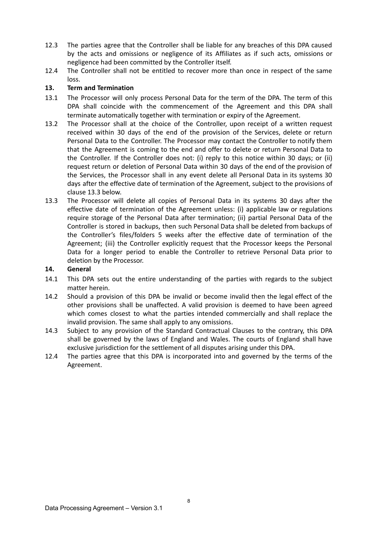- 12.3 The parties agree that the Controller shall be liable for any breaches of this DPA caused by the acts and omissions or negligence of its Affiliates as if such acts, omissions or negligence had been committed by the Controller itself.
- 12.4 The Controller shall not be entitled to recover more than once in respect of the same loss.

## **13. Term and Termination**

- 13.1 The Processor will only process Personal Data for the term of the DPA. The term of this DPA shall coincide with the commencement of the Agreement and this DPA shall terminate automatically together with termination or expiry of the Agreement.
- 13.2 The Processor shall at the choice of the Controller, upon receipt of a written request received within 30 days of the end of the provision of the Services, delete or return Personal Data to the Controller. The Processor may contact the Controller to notify them that the Agreement is coming to the end and offer to delete or return Personal Data to the Controller. If the Controller does not: (i) reply to this notice within 30 days; or (ii) request return or deletion of Personal Data within 30 days of the end of the provision of the Services, the Processor shall in any event delete all Personal Data in its systems 30 days after the effective date of termination of the Agreement, subject to the provisions of clause 13.3 below.
- 13.3 The Processor will delete all copies of Personal Data in its systems 30 days after the effective date of termination of the Agreement unless: (i) applicable law or regulations require storage of the Personal Data after termination; (ii) partial Personal Data of the Controller is stored in backups, then such Personal Data shall be deleted from backups of the Controller's files/folders 5 weeks after the effective date of termination of the Agreement; (iii) the Controller explicitly request that the Processor keeps the Personal Data for a longer period to enable the Controller to retrieve Personal Data prior to deletion by the Processor.

### **14. General**

- 14.1 This DPA sets out the entire understanding of the parties with regards to the subject matter herein.
- 14.2 Should a provision of this DPA be invalid or become invalid then the legal effect of the other provisions shall be unaffected. A valid provision is deemed to have been agreed which comes closest to what the parties intended commercially and shall replace the invalid provision. The same shall apply to any omissions.
- 14.3 Subject to any provision of the Standard Contractual Clauses to the contrary, this DPA shall be governed by the laws of England and Wales. The courts of England shall have exclusive jurisdiction for the settlement of all disputes arising under this DPA.
- 12.4 The parties agree that this DPA is incorporated into and governed by the terms of the Agreement.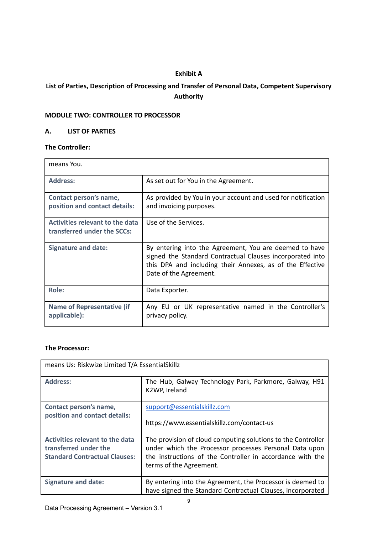# **Exhibit A**

# **List of Parties, Description of Processing and Transfer of Personal Data, Competent Supervisory Authority**

# **MODULE TWO: CONTROLLER TO PROCESSOR**

### **A. LIST OF PARTIES**

# **The Controller:**

| means You.                                                            |                                                                                                                                                                                                            |
|-----------------------------------------------------------------------|------------------------------------------------------------------------------------------------------------------------------------------------------------------------------------------------------------|
| <b>Address:</b>                                                       | As set out for You in the Agreement.                                                                                                                                                                       |
| Contact person's name,<br>position and contact details:               | As provided by You in your account and used for notification<br>and invoicing purposes.                                                                                                                    |
| <b>Activities relevant to the data</b><br>transferred under the SCCs: | Use of the Services.                                                                                                                                                                                       |
| <b>Signature and date:</b>                                            | By entering into the Agreement, You are deemed to have<br>signed the Standard Contractual Clauses incorporated into<br>this DPA and including their Annexes, as of the Effective<br>Date of the Agreement. |
| Role:                                                                 | Data Exporter.                                                                                                                                                                                             |
| <b>Name of Representative (if</b><br>applicable):                     | Any EU or UK representative named in the Controller's<br>privacy policy.                                                                                                                                   |

### **The Processor:**

| means Us: Riskwize Limited T/A EssentialSkillz                                                          |                                                                                                                                                                                                                |  |
|---------------------------------------------------------------------------------------------------------|----------------------------------------------------------------------------------------------------------------------------------------------------------------------------------------------------------------|--|
| <b>Address:</b>                                                                                         | The Hub, Galway Technology Park, Parkmore, Galway, H91<br>K2WP, Ireland                                                                                                                                        |  |
| Contact person's name,<br>position and contact details:                                                 | support@essentialskillz.com<br>https://www.essentialskillz.com/contact-us                                                                                                                                      |  |
| <b>Activities relevant to the data</b><br>transferred under the<br><b>Standard Contractual Clauses:</b> | The provision of cloud computing solutions to the Controller<br>under which the Processor processes Personal Data upon<br>the instructions of the Controller in accordance with the<br>terms of the Agreement. |  |
| <b>Signature and date:</b>                                                                              | By entering into the Agreement, the Processor is deemed to<br>have signed the Standard Contractual Clauses, incorporated                                                                                       |  |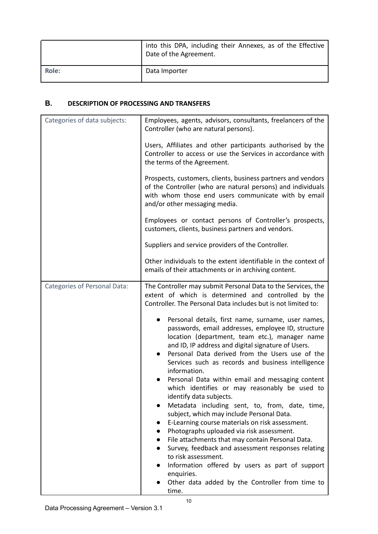|       | into this DPA, including their Annexes, as of the Effective<br>Date of the Agreement. |
|-------|---------------------------------------------------------------------------------------|
| Role: | Data Importer                                                                         |

# **В. DESCRIPTION OF PROCESSING AND TRANSFERS**

| Categories of data subjects:        | Employees, agents, advisors, consultants, freelancers of the<br>Controller (who are natural persons).                                                                                                                                                                                                                                                                                                                                                                                                                                                                                                                                                                                                                                                                                                                                                                         |
|-------------------------------------|-------------------------------------------------------------------------------------------------------------------------------------------------------------------------------------------------------------------------------------------------------------------------------------------------------------------------------------------------------------------------------------------------------------------------------------------------------------------------------------------------------------------------------------------------------------------------------------------------------------------------------------------------------------------------------------------------------------------------------------------------------------------------------------------------------------------------------------------------------------------------------|
|                                     | Users, Affiliates and other participants authorised by the<br>Controller to access or use the Services in accordance with<br>the terms of the Agreement.                                                                                                                                                                                                                                                                                                                                                                                                                                                                                                                                                                                                                                                                                                                      |
|                                     | Prospects, customers, clients, business partners and vendors<br>of the Controller (who are natural persons) and individuals<br>with whom those end users communicate with by email<br>and/or other messaging media.                                                                                                                                                                                                                                                                                                                                                                                                                                                                                                                                                                                                                                                           |
|                                     | Employees or contact persons of Controller's prospects,<br>customers, clients, business partners and vendors.                                                                                                                                                                                                                                                                                                                                                                                                                                                                                                                                                                                                                                                                                                                                                                 |
|                                     | Suppliers and service providers of the Controller.                                                                                                                                                                                                                                                                                                                                                                                                                                                                                                                                                                                                                                                                                                                                                                                                                            |
|                                     | Other individuals to the extent identifiable in the context of<br>emails of their attachments or in archiving content.                                                                                                                                                                                                                                                                                                                                                                                                                                                                                                                                                                                                                                                                                                                                                        |
| <b>Categories of Personal Data:</b> | The Controller may submit Personal Data to the Services, the<br>extent of which is determined and controlled by the<br>Controller. The Personal Data includes but is not limited to:<br>Personal details, first name, surname, user names,<br>passwords, email addresses, employee ID, structure<br>location (department, team etc.), manager name<br>and ID, IP address and digital signature of Users.<br>Personal Data derived from the Users use of the<br>Services such as records and business intelligence<br>information.<br>Personal Data within email and messaging content<br>which identifies or may reasonably be used to<br>identify data subjects.<br>Metadata including sent, to, from, date, time,<br>subject, which may include Personal Data.<br>E-Learning course materials on risk assessment.<br>$\bullet$<br>Photographs uploaded via risk assessment. |
|                                     | File attachments that may contain Personal Data.<br>Survey, feedback and assessment responses relating<br>to risk assessment.<br>Information offered by users as part of support                                                                                                                                                                                                                                                                                                                                                                                                                                                                                                                                                                                                                                                                                              |
|                                     | enquiries.<br>Other data added by the Controller from time to<br>time.                                                                                                                                                                                                                                                                                                                                                                                                                                                                                                                                                                                                                                                                                                                                                                                                        |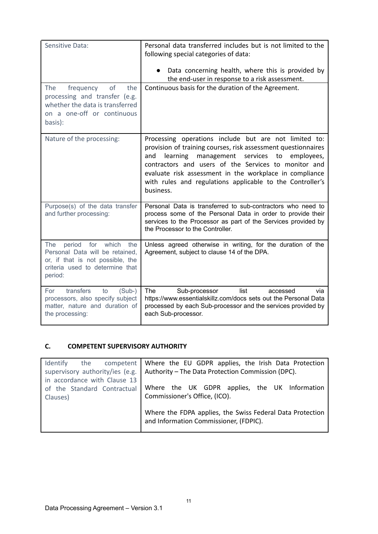| Sensitive Data:                                                                                                                                                  | Personal data transferred includes but is not limited to the<br>following special categories of data:                                                                                                                                                                                                                                                                             |
|------------------------------------------------------------------------------------------------------------------------------------------------------------------|-----------------------------------------------------------------------------------------------------------------------------------------------------------------------------------------------------------------------------------------------------------------------------------------------------------------------------------------------------------------------------------|
|                                                                                                                                                                  | Data concerning health, where this is provided by<br>the end-user in response to a risk assessment.                                                                                                                                                                                                                                                                               |
| of<br>the<br><b>The</b><br>frequency<br>processing and transfer (e.g.<br>whether the data is transferred<br>on a one-off or continuous<br>basis):                | Continuous basis for the duration of the Agreement.                                                                                                                                                                                                                                                                                                                               |
| Nature of the processing:                                                                                                                                        | Processing operations include but are not limited to:<br>provision of training courses, risk assessment questionnaires<br>learning<br>management<br>services to<br>employees,<br>and<br>contractors and users of the Services to monitor and<br>evaluate risk assessment in the workplace in compliance<br>with rules and regulations applicable to the Controller's<br>business. |
| Purpose(s) of the data transfer<br>and further processing:                                                                                                       | Personal Data is transferred to sub-contractors who need to<br>process some of the Personal Data in order to provide their<br>services to the Processor as part of the Services provided by<br>the Processor to the Controller.                                                                                                                                                   |
| for<br>which<br>period<br>the<br><b>The</b><br>Personal Data will be retained,<br>or, if that is not possible, the<br>criteria used to determine that<br>period: | Unless agreed otherwise in writing, for the duration of the<br>Agreement, subject to clause 14 of the DPA.                                                                                                                                                                                                                                                                        |
| transfers<br>For<br>$(Sub-)$<br>to<br>processors, also specify subject<br>matter, nature and duration of<br>the processing:                                      | <b>The</b><br>Sub-processor<br>list<br>accessed<br>via<br>https://www.essentialskillz.com/docs sets out the Personal Data<br>processed by each Sub-processor and the services provided by<br>each Sub-processor.                                                                                                                                                                  |

# **C. COMPETENT SUPERVISORY AUTHORITY**

| Identify                        | the competent   Where the EU GDPR applies, the Irish Data Protection                                |
|---------------------------------|-----------------------------------------------------------------------------------------------------|
| supervisory authority/ies (e.g. | Authority - The Data Protection Commission (DPC).                                                   |
| in accordance with Clause 13    |                                                                                                     |
| of the Standard Contractual     | Where the UK GDPR applies, the UK Information                                                       |
| Clauses)                        | Commissioner's Office, (ICO).                                                                       |
|                                 | Where the FDPA applies, the Swiss Federal Data Protection<br>and Information Commissioner, (FDPIC). |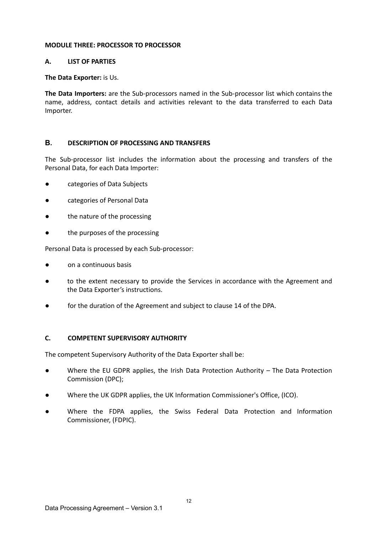### **MODULE THREE: PROCESSOR TO PROCESSOR**

### **A. LIST OF PARTIES**

### **The Data Exporter:** is Us.

**The Data Importers:** are the Sub-processors named in the Sub-processor list which contains the name, address, contact details and activities relevant to the data transferred to each Data Importer.

### **В. DESCRIPTION OF PROCESSING AND TRANSFERS**

The Sub-processor list includes the information about the processing and transfers of the Personal Data, for each Data Importer:

- categories of Data Subjects
- categories of Personal Data
- the nature of the processing
- the purposes of the processing

Personal Data is processed by each Sub-processor:

- on a continuous basis
- to the extent necessary to provide the Services in accordance with the Agreement and the Data Exporter's instructions.
- for the duration of the Agreement and subject to clause 14 of the DPA.

### **C. COMPETENT SUPERVISORY AUTHORITY**

The competent Supervisory Authority of the Data Exporter shall be:

- Where the EU GDPR applies, the Irish Data Protection Authority The Data Protection Commission (DPC);
- Where the UK GDPR applies, the UK Information Commissioner's Office, (ICO).
- Where the FDPA applies, the Swiss Federal Data Protection and Information Commissioner, (FDPIC).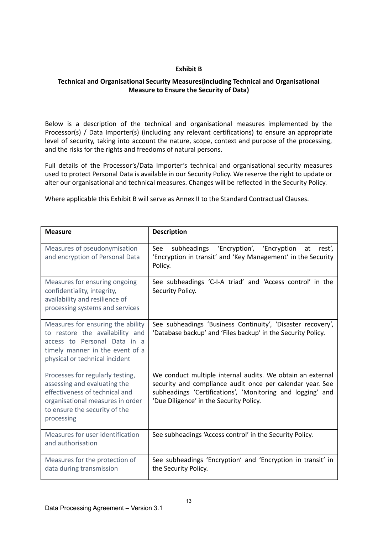### **Exhibit B**

## **Technical and Organisational Security Measures(including Technical and Organisational Measure to Ensure the Security of Data)**

Below is a description of the technical and organisational measures implemented by the Processor(s) / Data Importer(s) (including any relevant certifications) to ensure an appropriate level of security, taking into account the nature, scope, context and purpose of the processing, and the risks for the rights and freedoms of natural persons.

Full details of the Processor's/Data Importer's technical and organisational security measures used to protect Personal Data is available in our Security Policy. We reserve the right to update or alter our organisational and technical measures. Changes will be reflected in the Security Policy.

Where applicable this Exhibit B will serve as Annex II to the Standard Contractual Clauses.

| <b>Measure</b>                                                                                                                                                                        | <b>Description</b>                                                                                                                                                                                                               |
|---------------------------------------------------------------------------------------------------------------------------------------------------------------------------------------|----------------------------------------------------------------------------------------------------------------------------------------------------------------------------------------------------------------------------------|
| Measures of pseudonymisation<br>and encryption of Personal Data                                                                                                                       | See<br>'Encryption', 'Encryption<br>subheadings<br>at<br>rest',<br>'Encryption in transit' and 'Key Management' in the Security<br>Policy.                                                                                       |
| Measures for ensuring ongoing<br>confidentiality, integrity,<br>availability and resilience of<br>processing systems and services                                                     | See subheadings 'C-I-A triad' and 'Access control' in the<br>Security Policy.                                                                                                                                                    |
| Measures for ensuring the ability<br>to restore the availability and<br>access to Personal Data in a<br>timely manner in the event of a<br>physical or technical incident             | See subheadings 'Business Continuity', 'Disaster recovery',<br>'Database backup' and 'Files backup' in the Security Policy.                                                                                                      |
| Processes for regularly testing,<br>assessing and evaluating the<br>effectiveness of technical and<br>organisational measures in order<br>to ensure the security of the<br>processing | We conduct multiple internal audits. We obtain an external<br>security and compliance audit once per calendar year. See<br>subheadings 'Certifications', 'Monitoring and logging' and<br>'Due Diligence' in the Security Policy. |
| Measures for user identification<br>and authorisation                                                                                                                                 | See subheadings 'Access control' in the Security Policy.                                                                                                                                                                         |
| Measures for the protection of<br>data during transmission                                                                                                                            | See subheadings 'Encryption' and 'Encryption in transit' in<br>the Security Policy.                                                                                                                                              |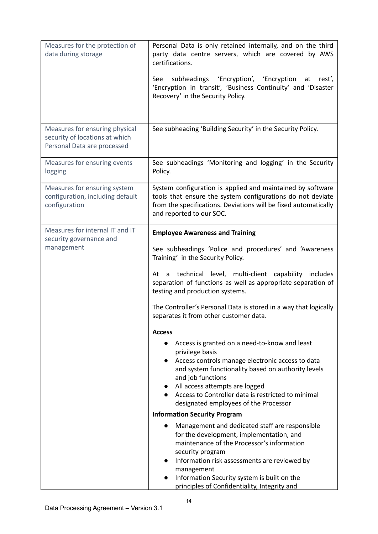| Measures for the protection of<br>data during storage                                           | Personal Data is only retained internally, and on the third<br>party data centre servers, which are covered by AWS<br>certifications.<br>subheadings 'Encryption', 'Encryption at rest',<br>See<br>'Encryption in transit', 'Business Continuity' and 'Disaster<br>Recovery' in the Security Policy.                                                                                                                                                                                                                                                                                                                                                                                                                                                                                                                                                                                                                                                                                                                                                                                                                                                                  |
|-------------------------------------------------------------------------------------------------|-----------------------------------------------------------------------------------------------------------------------------------------------------------------------------------------------------------------------------------------------------------------------------------------------------------------------------------------------------------------------------------------------------------------------------------------------------------------------------------------------------------------------------------------------------------------------------------------------------------------------------------------------------------------------------------------------------------------------------------------------------------------------------------------------------------------------------------------------------------------------------------------------------------------------------------------------------------------------------------------------------------------------------------------------------------------------------------------------------------------------------------------------------------------------|
| Measures for ensuring physical<br>security of locations at which<br>Personal Data are processed | See subheading 'Building Security' in the Security Policy.                                                                                                                                                                                                                                                                                                                                                                                                                                                                                                                                                                                                                                                                                                                                                                                                                                                                                                                                                                                                                                                                                                            |
| Measures for ensuring events<br>logging                                                         | See subheadings 'Monitoring and logging' in the Security<br>Policy.                                                                                                                                                                                                                                                                                                                                                                                                                                                                                                                                                                                                                                                                                                                                                                                                                                                                                                                                                                                                                                                                                                   |
| Measures for ensuring system<br>configuration, including default<br>configuration               | System configuration is applied and maintained by software<br>tools that ensure the system configurations do not deviate<br>from the specifications. Deviations will be fixed automatically<br>and reported to our SOC.                                                                                                                                                                                                                                                                                                                                                                                                                                                                                                                                                                                                                                                                                                                                                                                                                                                                                                                                               |
| Measures for internal IT and IT<br>security governance and<br>management                        | <b>Employee Awareness and Training</b><br>See subheadings 'Police and procedures' and 'Awareness<br>Training' in the Security Policy.<br>At a technical level, multi-client capability includes<br>separation of functions as well as appropriate separation of<br>testing and production systems.<br>The Controller's Personal Data is stored in a way that logically<br>separates it from other customer data.<br><b>Access</b><br>Access is granted on a need-to-know and least<br>privilege basis<br>Access controls manage electronic access to data<br>$\bullet$<br>and system functionality based on authority levels<br>and job functions<br>All access attempts are logged<br>• Access to Controller data is restricted to minimal<br>designated employees of the Processor<br><b>Information Security Program</b><br>Management and dedicated staff are responsible<br>$\bullet$<br>for the development, implementation, and<br>maintenance of the Processor's information<br>security program<br>Information risk assessments are reviewed by<br>management<br>Information Security system is built on the<br>principles of Confidentiality, Integrity and |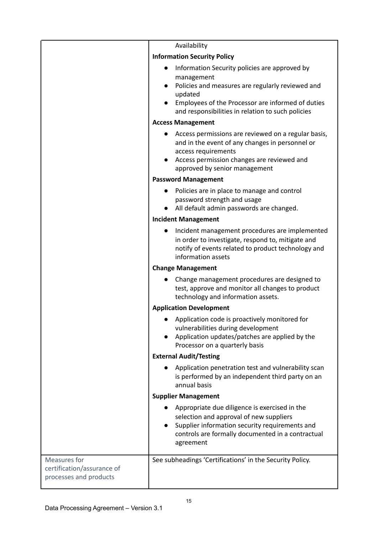|                                                                      | Availability                                                                                                                                                                                                                                      |
|----------------------------------------------------------------------|---------------------------------------------------------------------------------------------------------------------------------------------------------------------------------------------------------------------------------------------------|
|                                                                      | <b>Information Security Policy</b>                                                                                                                                                                                                                |
|                                                                      | Information Security policies are approved by<br>management<br>Policies and measures are regularly reviewed and<br>$\bullet$<br>updated<br>Employees of the Processor are informed of duties<br>and responsibilities in relation to such policies |
|                                                                      | <b>Access Management</b>                                                                                                                                                                                                                          |
|                                                                      | Access permissions are reviewed on a regular basis,<br>and in the event of any changes in personnel or<br>access requirements<br>Access permission changes are reviewed and<br>approved by senior management                                      |
|                                                                      | <b>Password Management</b>                                                                                                                                                                                                                        |
|                                                                      | Policies are in place to manage and control<br>password strength and usage<br>All default admin passwords are changed.                                                                                                                            |
|                                                                      | <b>Incident Management</b>                                                                                                                                                                                                                        |
|                                                                      | Incident management procedures are implemented<br>in order to investigate, respond to, mitigate and<br>notify of events related to product technology and<br>information assets                                                                   |
|                                                                      | <b>Change Management</b>                                                                                                                                                                                                                          |
|                                                                      | Change management procedures are designed to<br>test, approve and monitor all changes to product<br>technology and information assets.                                                                                                            |
|                                                                      | <b>Application Development</b>                                                                                                                                                                                                                    |
|                                                                      | Application code is proactively monitored for<br>vulnerabilities during development<br>Application updates/patches are applied by the<br>$\bullet$<br>Processor on a quarterly basis                                                              |
|                                                                      | <b>External Audit/Testing</b>                                                                                                                                                                                                                     |
|                                                                      | Application penetration test and vulnerability scan<br>is performed by an independent third party on an<br>annual basis                                                                                                                           |
|                                                                      | <b>Supplier Management</b>                                                                                                                                                                                                                        |
|                                                                      | Appropriate due diligence is exercised in the<br>selection and approval of new suppliers<br>Supplier information security requirements and<br>$\bullet$<br>controls are formally documented in a contractual<br>agreement                         |
| Measures for<br>certification/assurance of<br>processes and products | See subheadings 'Certifications' in the Security Policy.                                                                                                                                                                                          |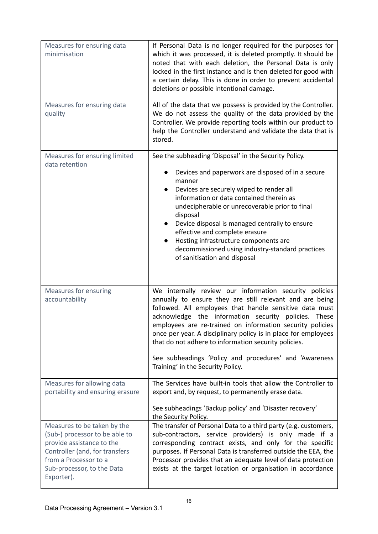| Measures for ensuring data<br>minimisation                                                                                                                                                        | If Personal Data is no longer required for the purposes for<br>which it was processed, it is deleted promptly. It should be<br>noted that with each deletion, the Personal Data is only<br>locked in the first instance and is then deleted for good with<br>a certain delay. This is done in order to prevent accidental<br>deletions or possible intentional damage.                                                                                                                                                      |
|---------------------------------------------------------------------------------------------------------------------------------------------------------------------------------------------------|-----------------------------------------------------------------------------------------------------------------------------------------------------------------------------------------------------------------------------------------------------------------------------------------------------------------------------------------------------------------------------------------------------------------------------------------------------------------------------------------------------------------------------|
| Measures for ensuring data<br>quality                                                                                                                                                             | All of the data that we possess is provided by the Controller.<br>We do not assess the quality of the data provided by the<br>Controller. We provide reporting tools within our product to<br>help the Controller understand and validate the data that is<br>stored.                                                                                                                                                                                                                                                       |
| Measures for ensuring limited<br>data retention                                                                                                                                                   | See the subheading 'Disposal' in the Security Policy.<br>Devices and paperwork are disposed of in a secure<br>manner<br>Devices are securely wiped to render all<br>$\bullet$<br>information or data contained therein as<br>undecipherable or unrecoverable prior to final<br>disposal<br>Device disposal is managed centrally to ensure<br>$\bullet$<br>effective and complete erasure<br>Hosting infrastructure components are<br>decommissioned using industry-standard practices<br>of sanitisation and disposal       |
| <b>Measures for ensuring</b><br>accountability                                                                                                                                                    | We internally review our information security policies<br>annually to ensure they are still relevant and are being<br>followed. All employees that handle sensitive data must<br>acknowledge the information security policies. These<br>employees are re-trained on information security policies<br>once per year. A disciplinary policy is in place for employees<br>that do not adhere to information security policies.<br>See subheadings 'Policy and procedures' and 'Awareness<br>Training' in the Security Policy. |
| Measures for allowing data<br>portability and ensuring erasure                                                                                                                                    | The Services have built-in tools that allow the Controller to<br>export and, by request, to permanently erase data.<br>See subheadings 'Backup policy' and 'Disaster recovery'<br>the Security Policy.                                                                                                                                                                                                                                                                                                                      |
| Measures to be taken by the<br>(Sub-) processor to be able to<br>provide assistance to the<br>Controller (and, for transfers<br>from a Processor to a<br>Sub-processor, to the Data<br>Exporter). | The transfer of Personal Data to a third party (e.g. customers,<br>sub-contractors, service providers) is only made if a<br>corresponding contract exists, and only for the specific<br>purposes. If Personal Data is transferred outside the EEA, the<br>Processor provides that an adequate level of data protection<br>exists at the target location or organisation in accordance                                                                                                                                       |